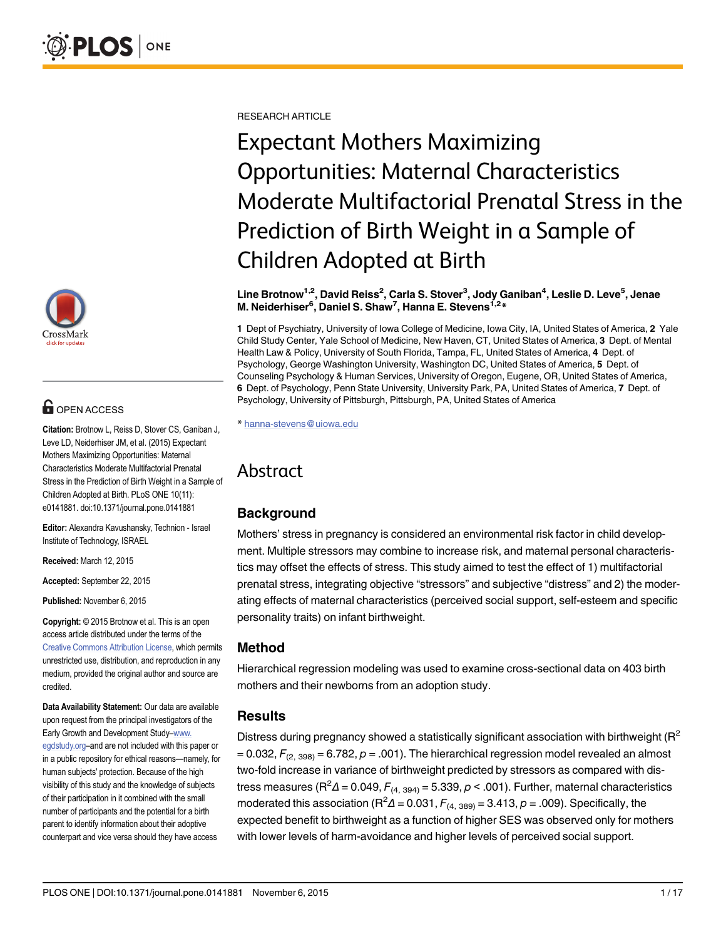

# **OPEN ACCESS**

Citation: Brotnow L, Reiss D, Stover CS, Ganiban J, Leve LD, Neiderhiser JM, et al. (2015) Expectant Mothers Maximizing Opportunities: Maternal Characteristics Moderate Multifactorial Prenatal Stress in the Prediction of Birth Weight in a Sample of Children Adopted at Birth. PLoS ONE 10(11): e0141881. doi:10.1371/journal.pone.0141881

Editor: Alexandra Kavushansky, Technion - Israel Institute of Technology, ISRAEL

Received: March 12, 2015

Accepted: September 22, 2015

Published: November 6, 2015

Copyright: © 2015 Brotnow et al. This is an open access article distributed under the terms of the [Creative Commons Attribution License,](http://creativecommons.org/licenses/by/4.0/) which permits unrestricted use, distribution, and reproduction in any medium, provided the original author and source are credited.

Data Availability Statement: Our data are available upon request from the principal investigators of the Early Growth and Development Study–[www.](http://www.egdstudy.org) [egdstudy.org](http://www.egdstudy.org)–and are not included with this paper or in a public repository for ethical reasons—namely, for human subjects' protection. Because of the high visibility of this study and the knowledge of subjects of their participation in it combined with the small number of participants and the potential for a birth parent to identify information about their adoptive counterpart and vice versa should they have access

RESEARCH ARTICLE

# Expectant Mothers Maximizing Opportunities: Maternal Characteristics Moderate Multifactorial Prenatal Stress in the Prediction of Birth Weight in a Sample of Children Adopted at Birth

#### Line Brotnow<sup>1,2</sup>, David Reiss<sup>2</sup>, Carla S. Stover<sup>3</sup>, Jody Ganiban<sup>4</sup>, Leslie D. Leve<sup>5</sup>, Jenae M. Neiderhiser<sup>6</sup>, Daniel S. Shaw<sup>7</sup>, Hanna E. Stevens<sup>1,2</sup>\*

1 Dept of Psychiatry, University of Iowa College of Medicine, Iowa City, IA, United States of America, 2 Yale Child Study Center, Yale School of Medicine, New Haven, CT, United States of America, 3 Dept. of Mental Health Law & Policy, University of South Florida, Tampa, FL, United States of America, 4 Dept. of Psychology, George Washington University, Washington DC, United States of America, 5 Dept. of Counseling Psychology & Human Services, University of Oregon, Eugene, OR, United States of America, 6 Dept. of Psychology, Penn State University, University Park, PA, United States of America, 7 Dept. of Psychology, University of Pittsburgh, Pittsburgh, PA, United States of America

\* hanna-stevens@uiowa.edu

## Abstract

## **Background**

Mothers' stress in pregnancy is considered an environmental risk factor in child development. Multiple stressors may combine to increase risk, and maternal personal characteristics may offset the effects of stress. This study aimed to test the effect of 1) multifactorial prenatal stress, integrating objective "stressors" and subjective "distress" and 2) the moderating effects of maternal characteristics (perceived social support, self-esteem and specific personality traits) on infant birthweight.

## Method

Hierarchical regression modeling was used to examine cross-sectional data on 403 birth mothers and their newborns from an adoption study.

## Results

Distress during pregnancy showed a statistically significant association with birthweight ( $R^2$ )  $= 0.032$ ,  $F_{(2, 398)} = 6.782$ ,  $p = .001$ ). The hierarchical regression model revealed an almost two-fold increase in variance of birthweight predicted by stressors as compared with distress measures (R ${}^{2}$ Δ = 0.049,  $F_{(4, 394)}$  = 5.339,  $\rho$  < .001). Further, maternal characteristics moderated this association (R<sup>2</sup> $\Delta$  = 0.031,  $F_{(4, 389)}$  = 3.413,  $\rho$  = .009). Specifically, the expected benefit to birthweight as a function of higher SES was observed only for mothers with lower levels of harm-avoidance and higher levels of perceived social support.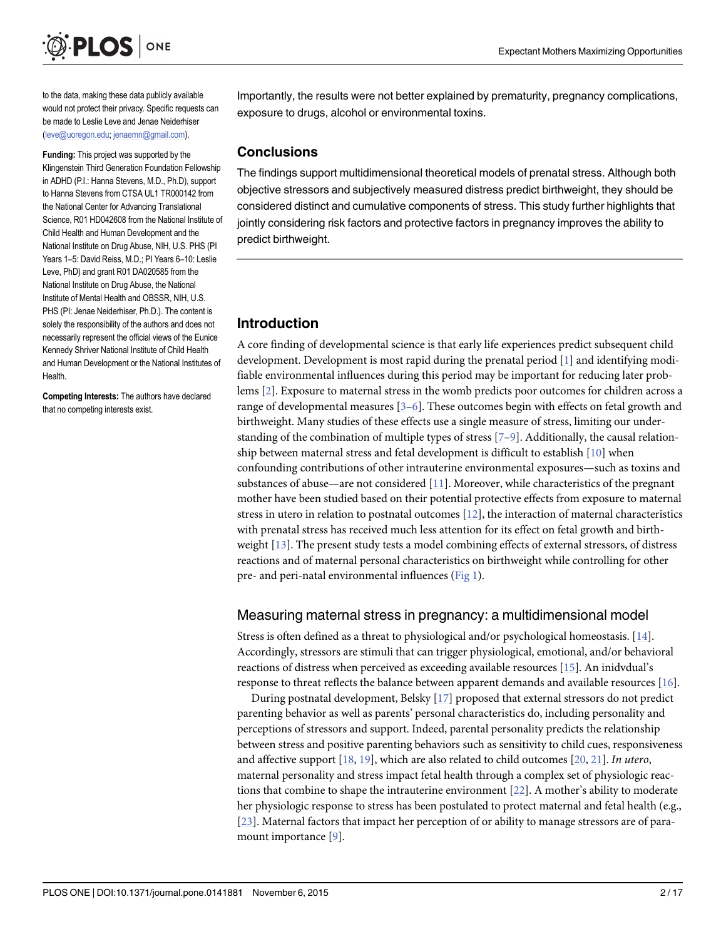<span id="page-1-0"></span>

to the data, making these data publicly available would not protect their privacy. Specific requests can be made to Leslie Leve and Jenae Neiderhiser (leve@uoregon.edu; jenaemn@gmail.com).

Funding: This project was supported by the Klingenstein Third Generation Foundation Fellowship in ADHD (P.I.: Hanna Stevens, M.D., Ph.D), support to Hanna Stevens from CTSA UL1 TR000142 from the National Center for Advancing Translational Science, R01 HD042608 from the National Institute of Child Health and Human Development and the National Institute on Drug Abuse, NIH, U.S. PHS (PI Years 1–5: David Reiss, M.D.; PI Years 6–10: Leslie Leve, PhD) and grant R01 DA020585 from the National Institute on Drug Abuse, the National Institute of Mental Health and OBSSR, NIH, U.S. PHS (PI: Jenae Neiderhiser, Ph.D.). The content is solely the responsibility of the authors and does not necessarily represent the official views of the Eunice Kennedy Shriver National Institute of Child Health and Human Development or the National Institutes of Health.

Competing Interests: The authors have declared that no competing interests exist.

Importantly, the results were not better explained by prematurity, pregnancy complications, exposure to drugs, alcohol or environmental toxins.

## **Conclusions**

The findings support multidimensional theoretical models of prenatal stress. Although both objective stressors and subjectively measured distress predict birthweight, they should be considered distinct and cumulative components of stress. This study further highlights that jointly considering risk factors and protective factors in pregnancy improves the ability to predict birthweight.

## Introduction

A core finding of developmental science is that early life experiences predict subsequent child development. Development is most rapid during the prenatal period [[1](#page-12-0)] and identifying modifiable environmental influences during this period may be important for reducing later problems [\[2\]](#page-12-0). Exposure to maternal stress in the womb predicts poor outcomes for children across a range of developmental measures [[3](#page-12-0)–[6\]](#page-12-0). These outcomes begin with effects on fetal growth and birthweight. Many studies of these effects use a single measure of stress, limiting our understanding of the combination of multiple types of stress  $[7-9]$  $[7-9]$  $[7-9]$  $[7-9]$ . Additionally, the causal relationship between maternal stress and fetal development is difficult to establish [\[10\]](#page-13-0) when confounding contributions of other intrauterine environmental exposures—such as toxins and substances of abuse—are not considered  $[11]$ . Moreover, while characteristics of the pregnant mother have been studied based on their potential protective effects from exposure to maternal stress in utero in relation to postnatal outcomes  $[12]$  $[12]$  $[12]$ , the interaction of maternal characteristics with prenatal stress has received much less attention for its effect on fetal growth and birthweight [\[13\]](#page-13-0). The present study tests a model combining effects of external stressors, of distress reactions and of maternal personal characteristics on birthweight while controlling for other pre- and peri-natal environmental influences ([Fig 1](#page-2-0)).

## Measuring maternal stress in pregnancy: a multidimensional model

Stress is often defined as a threat to physiological and/or psychological homeostasis. [[14](#page-13-0)]. Accordingly, stressors are stimuli that can trigger physiological, emotional, and/or behavioral reactions of distress when perceived as exceeding available resources [[15](#page-13-0)]. An inidvdual's response to threat reflects the balance between apparent demands and available resources [\[16\]](#page-13-0).

During postnatal development, Belsky [\[17\]](#page-13-0) proposed that external stressors do not predict parenting behavior as well as parents' personal characteristics do, including personality and perceptions of stressors and support. Indeed, parental personality predicts the relationship between stress and positive parenting behaviors such as sensitivity to child cues, responsiveness and affective support  $[18, 19]$  $[18, 19]$  $[18, 19]$  $[18, 19]$ , which are also related to child outcomes  $[20, 21]$  $[20, 21]$  $[20, 21]$  $[20, 21]$ . In utero, maternal personality and stress impact fetal health through a complex set of physiologic reactions that combine to shape the intrauterine environment [\[22\]](#page-13-0). A mother's ability to moderate her physiologic response to stress has been postulated to protect maternal and fetal health (e.g., [\[23](#page-13-0)]. Maternal factors that impact her perception of or ability to manage stressors are of paramount importance [\[9](#page-13-0)].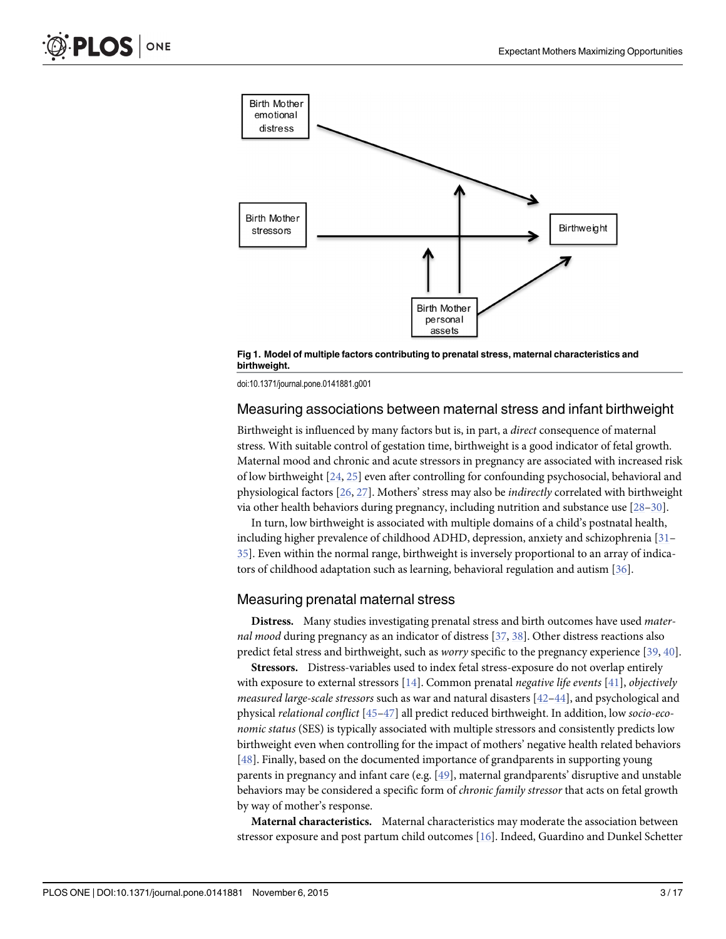<span id="page-2-0"></span>

[Fig 1. M](#page-1-0)odel of multiple factors contributing to prenatal stress, maternal characteristics and birthweight.

doi:10.1371/journal.pone.0141881.g001

## Measuring associations between maternal stress and infant birthweight

Birthweight is influenced by many factors but is, in part, a direct consequence of maternal stress. With suitable control of gestation time, birthweight is a good indicator of fetal growth. Maternal mood and chronic and acute stressors in pregnancy are associated with increased risk of low birthweight  $[24, 25]$  $[24, 25]$  $[24, 25]$  even after controlling for confounding psychosocial, behavioral and physiological factors [[26](#page-13-0), [27](#page-13-0)]. Mothers' stress may also be indirectly correlated with birthweight via other health behaviors during pregnancy, including nutrition and substance use [\[28](#page-13-0)–[30\]](#page-13-0).

In turn, low birthweight is associated with multiple domains of a child's postnatal health, including higher prevalence of childhood ADHD, depression, anxiety and schizophrenia [\[31](#page-13-0)– [35\]](#page-14-0). Even within the normal range, birthweight is inversely proportional to an array of indicators of childhood adaptation such as learning, behavioral regulation and autism [\[36\]](#page-14-0).

#### Measuring prenatal maternal stress

Distress. Many studies investigating prenatal stress and birth outcomes have used maternal mood during pregnancy as an indicator of distress  $[37, 38]$  $[37, 38]$  $[37, 38]$  $[37, 38]$  $[37, 38]$ . Other distress reactions also predict fetal stress and birthweight, such as worry specific to the pregnancy experience [[39](#page-14-0), [40](#page-14-0)].

Stressors. Distress-variables used to index fetal stress-exposure do not overlap entirely with exposure to external stressors  $[14]$ . Common prenatal *negative life events*  $[41]$ *, objectively measured large-scale stressors* such as war and natural disasters  $[42-44]$  $[42-44]$  $[42-44]$  $[42-44]$ , and psychological and physical relational conflict [[45](#page-14-0)–[47](#page-14-0)] all predict reduced birthweight. In addition, low socio-economic status (SES) is typically associated with multiple stressors and consistently predicts low birthweight even when controlling for the impact of mothers' negative health related behaviors [\[48](#page-14-0)]. Finally, based on the documented importance of grandparents in supporting young parents in pregnancy and infant care (e.g. [[49](#page-14-0)], maternal grandparents' disruptive and unstable behaviors may be considered a specific form of chronic family stressor that acts on fetal growth by way of mother's response.

Maternal characteristics. Maternal characteristics may moderate the association between stressor exposure and post partum child outcomes [[16](#page-13-0)]. Indeed, Guardino and Dunkel Schetter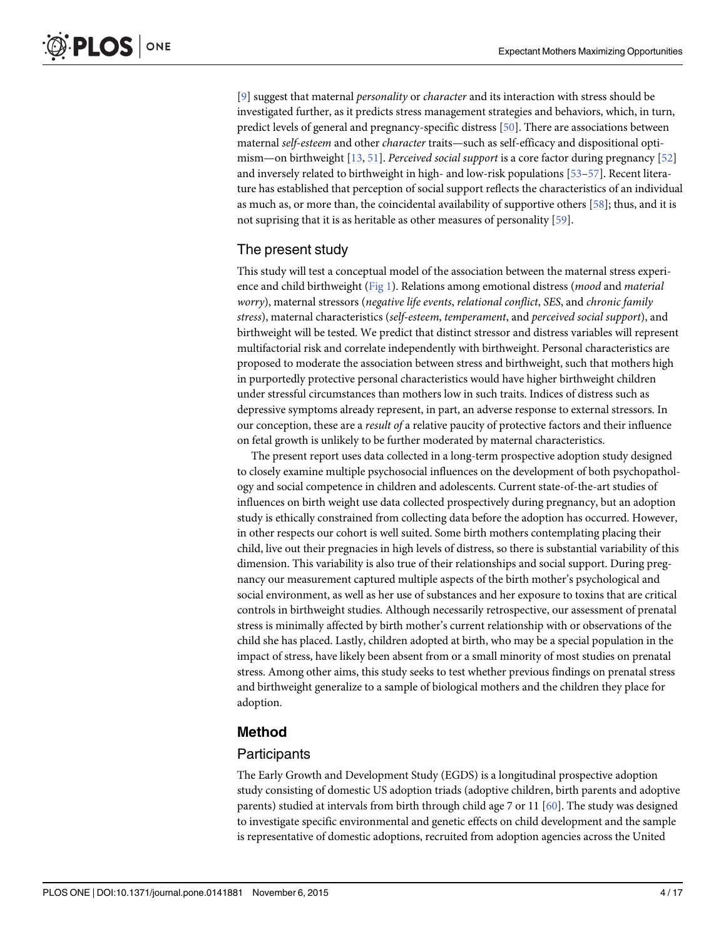<span id="page-3-0"></span>[\[9](#page-13-0)] suggest that maternal *personality* or *character* and its interaction with stress should be investigated further, as it predicts stress management strategies and behaviors, which, in turn, predict levels of general and pregnancy-specific distress [[50](#page-14-0)]. There are associations between maternal self-esteem and other character traits—such as self-efficacy and dispositional optimism—on birthweight [\[13,](#page-13-0) [51\]](#page-14-0). Perceived social support is a core factor during pregnancy [\[52\]](#page-14-0) and inversely related to birthweight in high- and low-risk populations [\[53](#page-14-0)–[57\]](#page-15-0). Recent literature has established that perception of social support reflects the characteristics of an individual as much as, or more than, the coincidental availability of supportive others [\[58\]](#page-15-0); thus, and it is not suprising that it is as heritable as other measures of personality [[59](#page-15-0)].

## The present study

This study will test a conceptual model of the association between the maternal stress experience and child birthweight ( $Fig 1$ ). Relations among emotional distress (*mood* and *material* worry), maternal stressors (negative life events, relational conflict, SES, and chronic family stress), maternal characteristics (self-esteem, temperament, and perceived social support), and birthweight will be tested. We predict that distinct stressor and distress variables will represent multifactorial risk and correlate independently with birthweight. Personal characteristics are proposed to moderate the association between stress and birthweight, such that mothers high in purportedly protective personal characteristics would have higher birthweight children under stressful circumstances than mothers low in such traits. Indices of distress such as depressive symptoms already represent, in part, an adverse response to external stressors. In our conception, these are a *result of* a relative paucity of protective factors and their influence on fetal growth is unlikely to be further moderated by maternal characteristics.

The present report uses data collected in a long-term prospective adoption study designed to closely examine multiple psychosocial influences on the development of both psychopathology and social competence in children and adolescents. Current state-of-the-art studies of influences on birth weight use data collected prospectively during pregnancy, but an adoption study is ethically constrained from collecting data before the adoption has occurred. However, in other respects our cohort is well suited. Some birth mothers contemplating placing their child, live out their pregnacies in high levels of distress, so there is substantial variability of this dimension. This variability is also true of their relationships and social support. During pregnancy our measurement captured multiple aspects of the birth mother's psychological and social environment, as well as her use of substances and her exposure to toxins that are critical controls in birthweight studies. Although necessarily retrospective, our assessment of prenatal stress is minimally affected by birth mother's current relationship with or observations of the child she has placed. Lastly, children adopted at birth, who may be a special population in the impact of stress, have likely been absent from or a small minority of most studies on prenatal stress. Among other aims, this study seeks to test whether previous findings on prenatal stress and birthweight generalize to a sample of biological mothers and the children they place for adoption.

## Method

## **Participants**

The Early Growth and Development Study (EGDS) is a longitudinal prospective adoption study consisting of domestic US adoption triads (adoptive children, birth parents and adoptive parents) studied at intervals from birth through child age 7 or 11 [[60](#page-15-0)]. The study was designed to investigate specific environmental and genetic effects on child development and the sample is representative of domestic adoptions, recruited from adoption agencies across the United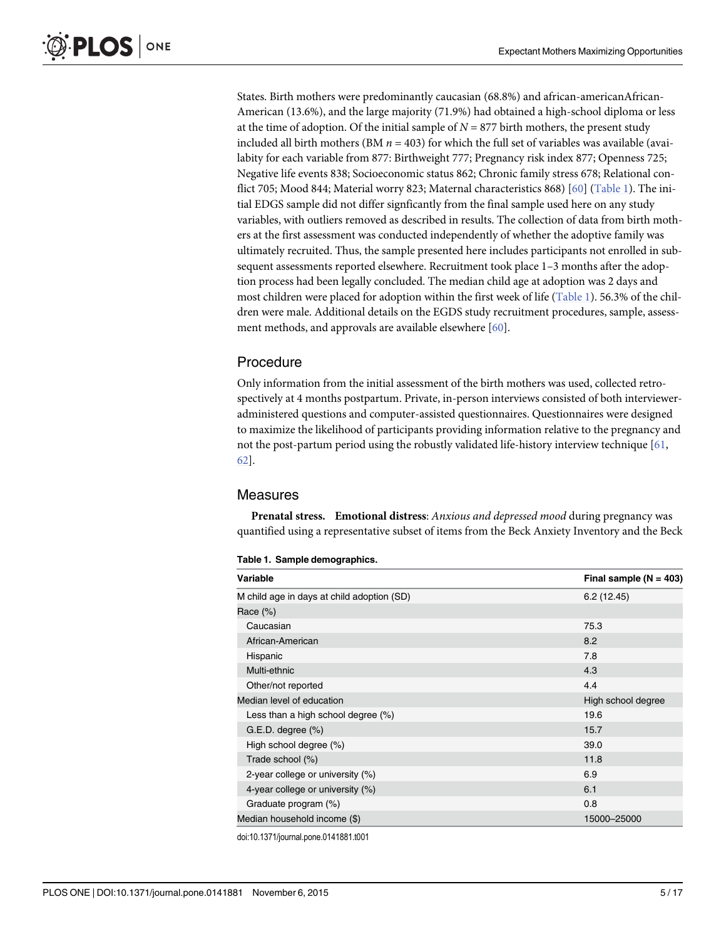<span id="page-4-0"></span>States. Birth mothers were predominantly caucasian (68.8%) and african-americanAfrican-American (13.6%), and the large majority (71.9%) had obtained a high-school diploma or less at the time of adoption. Of the initial sample of  $N = 877$  birth mothers, the present study included all birth mothers (BM  $n = 403$ ) for which the full set of variables was available (availabity for each variable from 877: Birthweight 777; Pregnancy risk index 877; Openness 725; Negative life events 838; Socioeconomic status 862; Chronic family stress 678; Relational con-flict 705; Mood 844; Material worry 823; Maternal characteristics 868) [[60](#page-15-0)] (Table 1). The initial EDGS sample did not differ signficantly from the final sample used here on any study variables, with outliers removed as described in results. The collection of data from birth mothers at the first assessment was conducted independently of whether the adoptive family was ultimately recruited. Thus, the sample presented here includes participants not enrolled in subsequent assessments reported elsewhere. Recruitment took place 1–3 months after the adoption process had been legally concluded. The median child age at adoption was 2 days and most children were placed for adoption within the first week of life (Table 1). 56.3% of the children were male. Additional details on the EGDS study recruitment procedures, sample, assessment methods, and approvals are available elsewhere [\[60\]](#page-15-0).

## Procedure

Only information from the initial assessment of the birth mothers was used, collected retrospectively at 4 months postpartum. Private, in-person interviews consisted of both intervieweradministered questions and computer-assisted questionnaires. Questionnaires were designed to maximize the likelihood of participants providing information relative to the pregnancy and not the post-partum period using the robustly validated life-history interview technique [[61,](#page-15-0) [62\]](#page-15-0).

## **Measures**

Prenatal stress. Emotional distress: Anxious and depressed mood during pregnancy was quantified using a representative subset of items from the Beck Anxiety Inventory and the Beck

|  | Table 1. Sample demographics. |  |  |
|--|-------------------------------|--|--|
|--|-------------------------------|--|--|

| Variable                                   | Final sample $(N = 403)$ |
|--------------------------------------------|--------------------------|
| M child age in days at child adoption (SD) | 6.2(12.45)               |
| Race $(\%)$                                |                          |
| Caucasian                                  | 75.3                     |
| African-American                           | 8.2                      |
| Hispanic                                   | 7.8                      |
| Multi-ethnic                               | 4.3                      |
| Other/not reported                         | 4.4                      |
| Median level of education                  | High school degree       |
| Less than a high school degree (%)         | 19.6                     |
| $G.E.D. degree (\%)$                       | 15.7                     |
| High school degree (%)                     | 39.0                     |
| Trade school (%)                           | 11.8                     |
| 2-year college or university $(\%)$        | 6.9                      |
| 4-year college or university (%)           | 6.1                      |
| Graduate program (%)                       | 0.8                      |
| Median household income (\$)               | 15000-25000              |

doi:10.1371/journal.pone.0141881.t001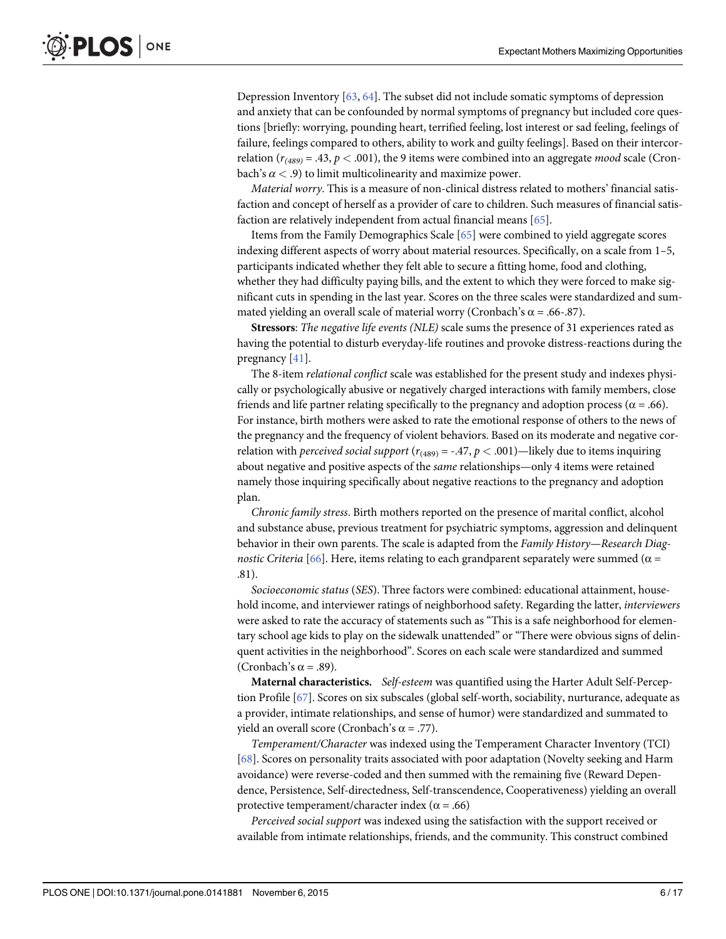<span id="page-5-0"></span>Depression Inventory [[63](#page-15-0), [64](#page-15-0)]. The subset did not include somatic symptoms of depression and anxiety that can be confounded by normal symptoms of pregnancy but included core questions [briefly: worrying, pounding heart, terrified feeling, lost interest or sad feeling, feelings of failure, feelings compared to others, ability to work and guilty feelings]. Based on their intercorrelation  $(r_{(489)} = .43, p < .001)$ , the 9 items were combined into an aggregate *mood* scale (Cronbach's  $\alpha$  < .9) to limit multicolinearity and maximize power.

Material worry. This is a measure of non-clinical distress related to mothers' financial satisfaction and concept of herself as a provider of care to children. Such measures of financial satisfaction are relatively independent from actual financial means [[65](#page-15-0)].

Items from the Family Demographics Scale [[65](#page-15-0)] were combined to yield aggregate scores indexing different aspects of worry about material resources. Specifically, on a scale from 1–5, participants indicated whether they felt able to secure a fitting home, food and clothing, whether they had difficulty paying bills, and the extent to which they were forced to make significant cuts in spending in the last year. Scores on the three scales were standardized and summated yielding an overall scale of material worry (Cronbach's  $\alpha$  = .66-.87).

Stressors: The negative life events (NLE) scale sums the presence of 31 experiences rated as having the potential to disturb everyday-life routines and provoke distress-reactions during the pregnancy [\[41\]](#page-14-0).

The 8-item relational conflict scale was established for the present study and indexes physically or psychologically abusive or negatively charged interactions with family members, close friends and life partner relating specifically to the pregnancy and adoption process ( $\alpha$  = .66). For instance, birth mothers were asked to rate the emotional response of others to the news of the pregnancy and the frequency of violent behaviors. Based on its moderate and negative correlation with *perceived social support* ( $r_{(489)} = -.47$ ,  $p < .001$ )—likely due to items inquiring about negative and positive aspects of the same relationships—only 4 items were retained namely those inquiring specifically about negative reactions to the pregnancy and adoption plan.

Chronic family stress. Birth mothers reported on the presence of marital conflict, alcohol and substance abuse, previous treatment for psychiatric symptoms, aggression and delinquent behavior in their own parents. The scale is adapted from the Family History—Research Diag-nostic Criteria [[66](#page-15-0)]. Here, items relating to each grandparent separately were summed ( $\alpha$  = .81).

Socioeconomic status (SES). Three factors were combined: educational attainment, household income, and interviewer ratings of neighborhood safety. Regarding the latter, interviewers were asked to rate the accuracy of statements such as "This is a safe neighborhood for elementary school age kids to play on the sidewalk unattended" or "There were obvious signs of delinquent activities in the neighborhood". Scores on each scale were standardized and summed (Cronbach's  $\alpha$  = .89).

Maternal characteristics. Self-esteem was quantified using the Harter Adult Self-Perception Profile [\[67\]](#page-15-0). Scores on six subscales (global self-worth, sociability, nurturance, adequate as a provider, intimate relationships, and sense of humor) were standardized and summated to yield an overall score (Cronbach's α = .77).

Temperament/Character was indexed using the Temperament Character Inventory (TCI) [\[68](#page-15-0)]. Scores on personality traits associated with poor adaptation (Novelty seeking and Harm avoidance) were reverse-coded and then summed with the remaining five (Reward Dependence, Persistence, Self-directedness, Self-transcendence, Cooperativeness) yielding an overall protective temperament/character index ( $\alpha$  = .66)

Perceived social support was indexed using the satisfaction with the support received or available from intimate relationships, friends, and the community. This construct combined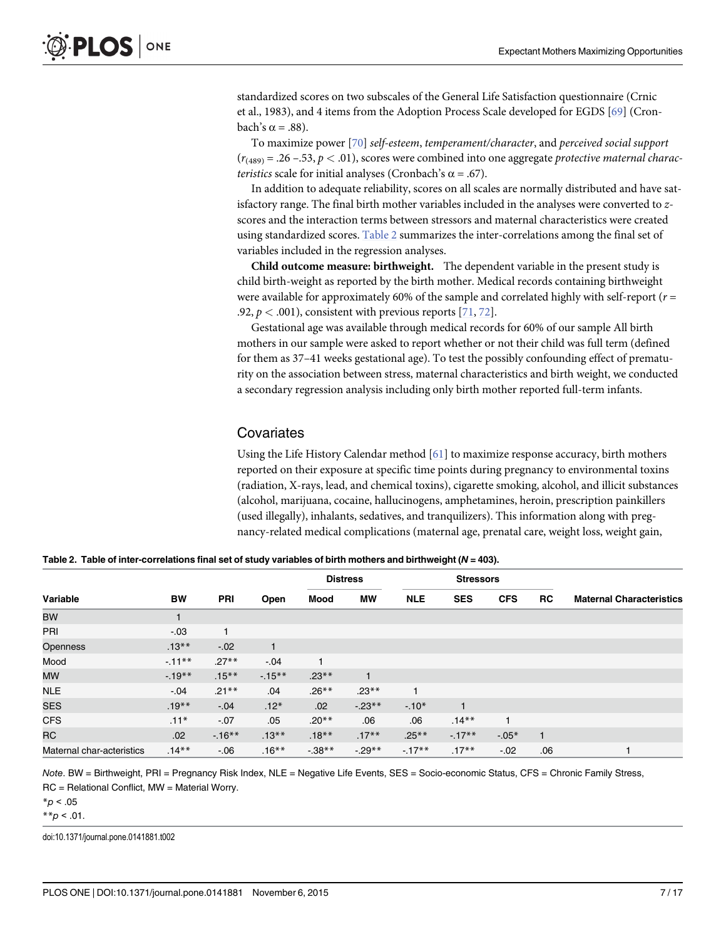<span id="page-6-0"></span>standardized scores on two subscales of the General Life Satisfaction questionnaire (Crnic et al., 1983), and 4 items from the Adoption Process Scale developed for EGDS [[69](#page-15-0)] (Cronbach's α = .88).

To maximize power [[70](#page-15-0)] self-esteem, temperament/character, and perceived social support  $(r_{(489)} = .26 - .53, p < .01)$ , scores were combined into one aggregate protective maternal charac*teristics* scale for initial analyses (Cronbach's  $\alpha$  = .67).

In addition to adequate reliability, scores on all scales are normally distributed and have satisfactory range. The final birth mother variables included in the analyses were converted to zscores and the interaction terms between stressors and maternal characteristics were created using standardized scores. Table 2 summarizes the inter-correlations among the final set of variables included in the regression analyses.

Child outcome measure: birthweight. The dependent variable in the present study is child birth-weight as reported by the birth mother. Medical records containing birthweight were available for approximately 60% of the sample and correlated highly with self-report ( $r =$ .92,  $p < .001$ ), consistent with previous reports [\[71,](#page-15-0) [72\]](#page-15-0).

Gestational age was available through medical records for 60% of our sample All birth mothers in our sample were asked to report whether or not their child was full term (defined for them as 37–41 weeks gestational age). To test the possibly confounding effect of prematurity on the association between stress, maternal characteristics and birth weight, we conducted a secondary regression analysis including only birth mother reported full-term infants.

## **Covariates**

Using the Life History Calendar method  $[61]$  to maximize response accuracy, birth mothers reported on their exposure at specific time points during pregnancy to environmental toxins (radiation, X-rays, lead, and chemical toxins), cigarette smoking, alcohol, and illicit substances (alcohol, marijuana, cocaine, hallucinogens, amphetamines, heroin, prescription painkillers (used illegally), inhalants, sedatives, and tranquilizers). This information along with pregnancy-related medical complications (maternal age, prenatal care, weight loss, weight gain,

Table 2. Table of inter-correlations final set of study variables of birth mothers and birthweight ( $N = 403$ ).

|                           |           |            |              | -<br>$\overline{\phantom{a}}$ |              |                  |            |            |              |                                 |
|---------------------------|-----------|------------|--------------|-------------------------------|--------------|------------------|------------|------------|--------------|---------------------------------|
| Variable                  | <b>BW</b> |            |              | <b>Distress</b>               |              | <b>Stressors</b> |            |            |              |                                 |
|                           |           | <b>PRI</b> | Open         | Mood                          | <b>MW</b>    | <b>NLE</b>       | <b>SES</b> | <b>CFS</b> | <b>RC</b>    | <b>Maternal Characteristics</b> |
| <b>BW</b>                 |           |            |              |                               |              |                  |            |            |              |                                 |
| PRI                       | $-.03$    | 1          |              |                               |              |                  |            |            |              |                                 |
| Openness                  | $.13***$  | $-.02$     | $\mathbf{1}$ |                               |              |                  |            |            |              |                                 |
| Mood                      | $-11***$  | $.27**$    | $-.04$       | 1                             |              |                  |            |            |              |                                 |
| <b>MW</b>                 | $-19**$   | $.15***$   | $-15***$     | $.23**$                       | $\mathbf{1}$ |                  |            |            |              |                                 |
| <b>NLE</b>                | $-0.04$   | $.21***$   | .04          | $.26***$                      | $.23**$      |                  |            |            |              |                                 |
| <b>SES</b>                | $.19***$  | $-0.04$    | $.12*$       | .02                           | $-23**$      | $-.10*$          |            |            |              |                                 |
| <b>CFS</b>                | $.11*$    | $-.07$     | .05          | $.20**$                       | .06          | .06              | $.14***$   | 1          |              |                                 |
| <b>RC</b>                 | .02       | $-16***$   | $.13***$     | $.18***$                      | $.17***$     | $.25***$         | $-17**$    | $-.05*$    | $\mathbf{1}$ |                                 |
| Maternal char-acteristics | $.14***$  | $-06$      | $.16***$     | $-0.38**$                     | $-0.29**$    | $-17**$          | $.17***$   | $-0.02$    | .06          |                                 |

Note. BW = Birthweight, PRI = Pregnancy Risk Index, NLE = Negative Life Events, SES = Socio-economic Status, CFS = Chronic Family Stress, RC = Relational Conflict, MW = Material Worry.

 $*_{p}$  < .05

 $* p < .01$ .

doi:10.1371/journal.pone.0141881.t002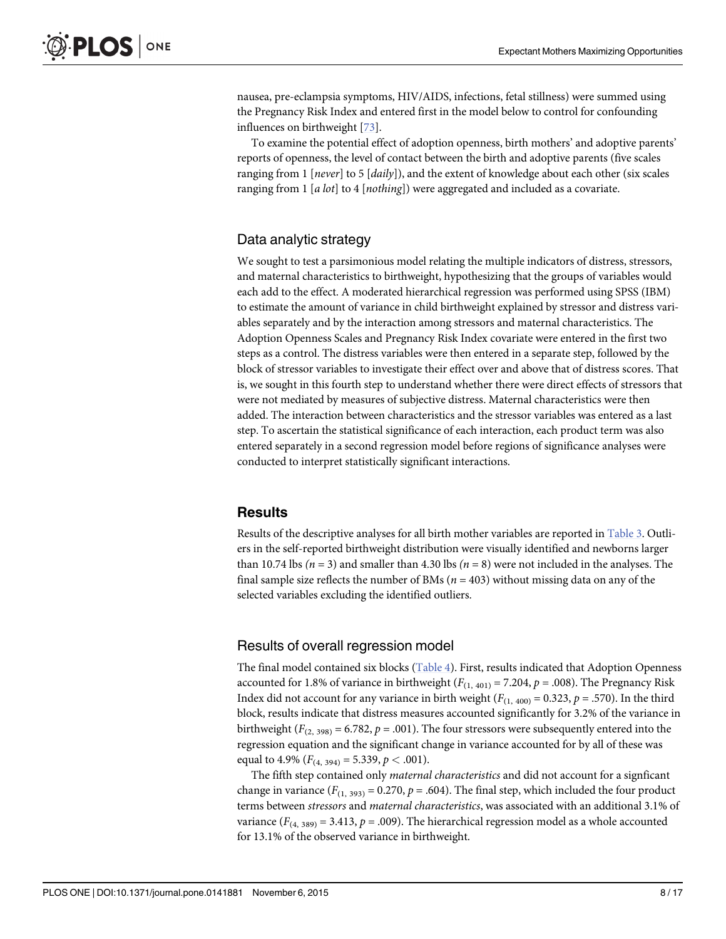<span id="page-7-0"></span>nausea, pre-eclampsia symptoms, HIV/AIDS, infections, fetal stillness) were summed using the Pregnancy Risk Index and entered first in the model below to control for confounding influences on birthweight [[73](#page-15-0)].

To examine the potential effect of adoption openness, birth mothers' and adoptive parents' reports of openness, the level of contact between the birth and adoptive parents (five scales ranging from 1 [never] to 5  $\lceil \text{daily} \rceil$ ), and the extent of knowledge about each other (six scales ranging from 1 [a lot] to 4 [nothing]) were aggregated and included as a covariate.

## Data analytic strategy

We sought to test a parsimonious model relating the multiple indicators of distress, stressors, and maternal characteristics to birthweight, hypothesizing that the groups of variables would each add to the effect. A moderated hierarchical regression was performed using SPSS (IBM) to estimate the amount of variance in child birthweight explained by stressor and distress variables separately and by the interaction among stressors and maternal characteristics. The Adoption Openness Scales and Pregnancy Risk Index covariate were entered in the first two steps as a control. The distress variables were then entered in a separate step, followed by the block of stressor variables to investigate their effect over and above that of distress scores. That is, we sought in this fourth step to understand whether there were direct effects of stressors that were not mediated by measures of subjective distress. Maternal characteristics were then added. The interaction between characteristics and the stressor variables was entered as a last step. To ascertain the statistical significance of each interaction, each product term was also entered separately in a second regression model before regions of significance analyses were conducted to interpret statistically significant interactions.

## Results

Results of the descriptive analyses for all birth mother variables are reported in [Table 3.](#page-8-0) Outliers in the self-reported birthweight distribution were visually identified and newborns larger than 10.74 lbs ( $n = 3$ ) and smaller than 4.30 lbs ( $n = 8$ ) were not included in the analyses. The final sample size reflects the number of BMs ( $n = 403$ ) without missing data on any of the selected variables excluding the identified outliers.

#### Results of overall regression model

The final model contained six blocks ([Table 4\)](#page-9-0). First, results indicated that Adoption Openness accounted for 1.8% of variance in birthweight ( $F_{(1, 401)} = 7.204$ ,  $p = .008$ ). The Pregnancy Risk Index did not account for any variance in birth weight ( $F_{(1, 400)} = 0.323$ ,  $p = .570$ ). In the third block, results indicate that distress measures accounted significantly for 3.2% of the variance in birthweight ( $F_{(2, 398)} = 6.782$ ,  $p = .001$ ). The four stressors were subsequently entered into the regression equation and the significant change in variance accounted for by all of these was equal to 4.9%  $(F_{(4, 394)} = 5.339, p < .001)$ .

The fifth step contained only maternal characteristics and did not account for a signficant change in variance  $(F_{(1, 393)} = 0.270, p = .604)$ . The final step, which included the four product terms between stressors and maternal characteristics, was associated with an additional 3.1% of variance ( $F_{(4, 389)} = 3.413$ ,  $p = .009$ ). The hierarchical regression model as a whole accounted for 13.1% of the observed variance in birthweight.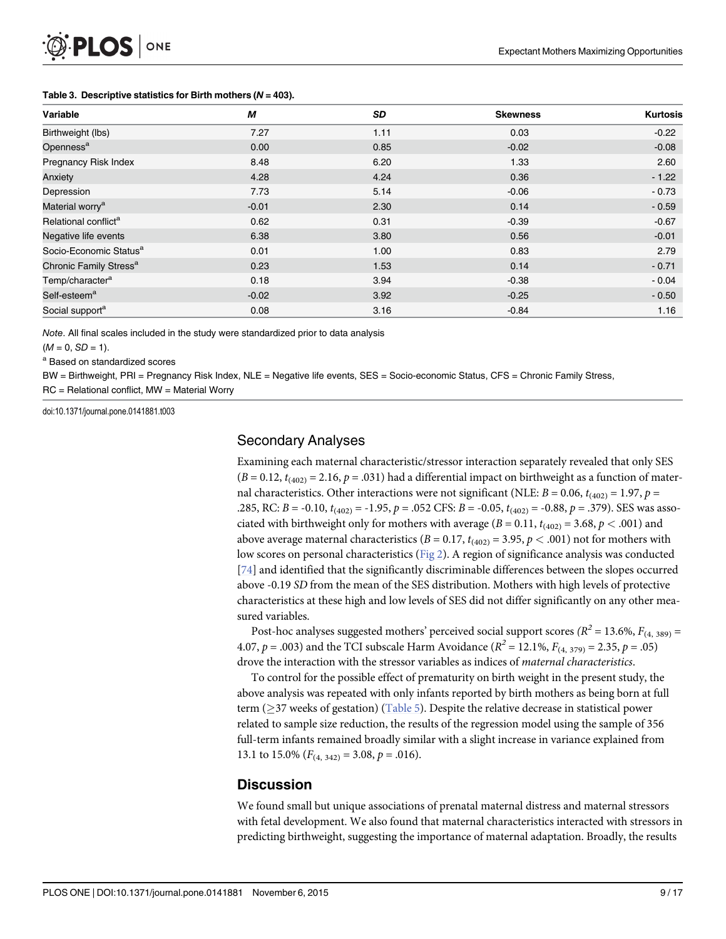| Variable                           | M       | SD   | <b>Skewness</b> | <b>Kurtosis</b> |
|------------------------------------|---------|------|-----------------|-----------------|
| Birthweight (lbs)                  | 7.27    | 1.11 | 0.03            | $-0.22$         |
| Openness <sup>a</sup>              | 0.00    | 0.85 | $-0.02$         | $-0.08$         |
| Pregnancy Risk Index               | 8.48    | 6.20 | 1.33            | 2.60            |
| Anxiety                            | 4.28    | 4.24 | 0.36            | $-1.22$         |
| Depression                         | 7.73    | 5.14 | $-0.06$         | $-0.73$         |
| Material worry <sup>a</sup>        | $-0.01$ | 2.30 | 0.14            | $-0.59$         |
| Relational conflict <sup>a</sup>   | 0.62    | 0.31 | $-0.39$         | $-0.67$         |
| Negative life events               | 6.38    | 3.80 | 0.56            | $-0.01$         |
| Socio-Economic Status <sup>a</sup> | 0.01    | 1.00 | 0.83            | 2.79            |
| Chronic Family Stress <sup>a</sup> | 0.23    | 1.53 | 0.14            | $-0.71$         |
| Temp/character <sup>a</sup>        | 0.18    | 3.94 | $-0.38$         | $-0.04$         |
| Self-esteem <sup>a</sup>           | $-0.02$ | 3.92 | $-0.25$         | $-0.50$         |
| Social support <sup>a</sup>        | 0.08    | 3.16 | $-0.84$         | 1.16            |

#### <span id="page-8-0"></span>[Table 3.](#page-7-0) Descriptive statistics for Birth mothers ( $N = 403$ ).

Note. All final scales included in the study were standardized prior to data analysis

 $(M = 0, SD = 1).$ 

<sup>a</sup> Based on standardized scores

BW = Birthweight, PRI = Pregnancy Risk Index, NLE = Negative life events, SES = Socio-economic Status, CFS = Chronic Family Stress,

RC = Relational conflict, MW = Material Worry

doi:10.1371/journal.pone.0141881.t003

## Secondary Analyses

Examining each maternal characteristic/stressor interaction separately revealed that only SES  $(B = 0.12, t_{(402)} = 2.16, p = .031)$  had a differential impact on birthweight as a function of maternal characteristics. Other interactions were not significant (NLE:  $B = 0.06$ ,  $t_{(402)} = 1.97$ ,  $p =$ .285, RC:  $B = -0.10$ ,  $t_{(402)} = -1.95$ ,  $p = .052$  CFS:  $B = -0.05$ ,  $t_{(402)} = -0.88$ ,  $p = .379$ ). SES was associated with birthweight only for mothers with average  $(B = 0.11, t_{(402)} = 3.68, p < .001)$  and above average maternal characteristics ( $B = 0.17$ ,  $t_{(402)} = 3.95$ ,  $p < .001$ ) not for mothers with low scores on personal characteristics [\(Fig 2](#page-10-0)). A region of significance analysis was conducted [\[74](#page-15-0)] and identified that the significantly discriminable differences between the slopes occurred above -0.19 SD from the mean of the SES distribution. Mothers with high levels of protective characteristics at these high and low levels of SES did not differ significantly on any other measured variables.

Post-hoc analyses suggested mothers' perceived social support scores ( $R^2 = 13.6\%$ ,  $F_{(4, 389)} =$ 4.07,  $p = .003$ ) and the TCI subscale Harm Avoidance ( $R^2 = 12.1\%$ ,  $F_{(4, 379)} = 2.35$ ,  $p = .05$ ) drove the interaction with the stressor variables as indices of maternal characteristics.

To control for the possible effect of prematurity on birth weight in the present study, the above analysis was repeated with only infants reported by birth mothers as being born at full term ( $\geq$ 37 weeks of gestation) [\(Table 5](#page-11-0)). Despite the relative decrease in statistical power related to sample size reduction, the results of the regression model using the sample of 356 full-term infants remained broadly similar with a slight increase in variance explained from 13.1 to 15.0%  $(F_{(4, 342)} = 3.08, p = .016)$ .

## **Discussion**

We found small but unique associations of prenatal maternal distress and maternal stressors with fetal development. We also found that maternal characteristics interacted with stressors in predicting birthweight, suggesting the importance of maternal adaptation. Broadly, the results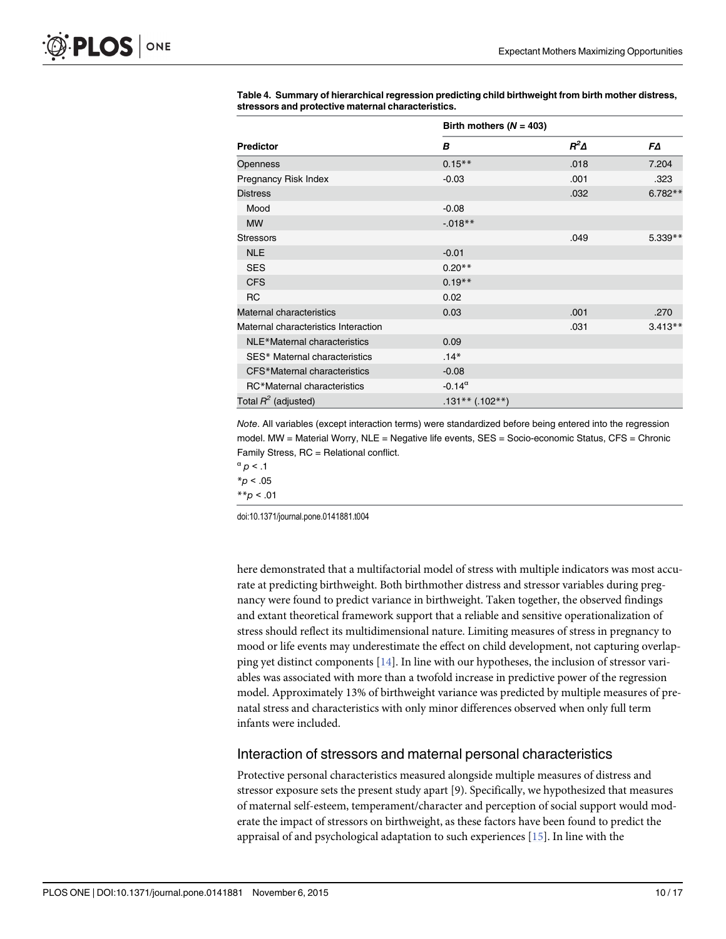|                                      | Birth mothers ( $N = 403$ ) |             |           |
|--------------------------------------|-----------------------------|-------------|-----------|
| <b>Predictor</b>                     | B                           | $R^2\Delta$ | FΔ        |
| <b>Openness</b>                      | $0.15***$                   | .018        | 7.204     |
| Pregnancy Risk Index                 | $-0.03$                     | .001        | .323      |
| <b>Distress</b>                      |                             | .032        | $6.782**$ |
| Mood                                 | $-0.08$                     |             |           |
| <b>MW</b>                            | $-0.018**$                  |             |           |
| <b>Stressors</b>                     |                             | .049        | $5.339**$ |
| <b>NLE</b>                           | $-0.01$                     |             |           |
| <b>SES</b>                           | $0.20**$                    |             |           |
| <b>CFS</b>                           | $0.19**$                    |             |           |
| <b>RC</b>                            | 0.02                        |             |           |
| Maternal characteristics             | 0.03                        | .001        | .270      |
| Maternal characteristics Interaction |                             | .031        | $3.413**$ |
| NLE*Maternal characteristics         | 0.09                        |             |           |
| SES* Maternal characteristics        | $.14*$                      |             |           |
| CFS*Maternal characteristics         | $-0.08$                     |             |           |
| RC*Maternal characteristics          | $-0.14^{\alpha}$            |             |           |
| Total $R^2$ (adjusted)               | $.131**$ (.102**)           |             |           |

<span id="page-9-0"></span>[Table 4.](#page-7-0) Summary of hierarchical regression predicting child birthweight from birth mother distress, stressors and protective maternal characteristics.

Note. All variables (except interaction terms) were standardized before being entered into the regression model. MW = Material Worry, NLE = Negative life events, SES = Socio-economic Status, CFS = Chronic Family Stress, RC = Relational conflict.

```
\alpha p < .1
*_{p} < .05
```
 $*_{p}$  < .01

doi:10.1371/journal.pone.0141881.t004

here demonstrated that a multifactorial model of stress with multiple indicators was most accurate at predicting birthweight. Both birthmother distress and stressor variables during pregnancy were found to predict variance in birthweight. Taken together, the observed findings and extant theoretical framework support that a reliable and sensitive operationalization of stress should reflect its multidimensional nature. Limiting measures of stress in pregnancy to mood or life events may underestimate the effect on child development, not capturing overlapping yet distinct components  $[14]$  $[14]$  $[14]$ . In line with our hypotheses, the inclusion of stressor variables was associated with more than a twofold increase in predictive power of the regression model. Approximately 13% of birthweight variance was predicted by multiple measures of prenatal stress and characteristics with only minor differences observed when only full term infants were included.

## Interaction of stressors and maternal personal characteristics

Protective personal characteristics measured alongside multiple measures of distress and stressor exposure sets the present study apart [9). Specifically, we hypothesized that measures of maternal self-esteem, temperament/character and perception of social support would moderate the impact of stressors on birthweight, as these factors have been found to predict the appraisal of and psychological adaptation to such experiences [[15](#page-13-0)]. In line with the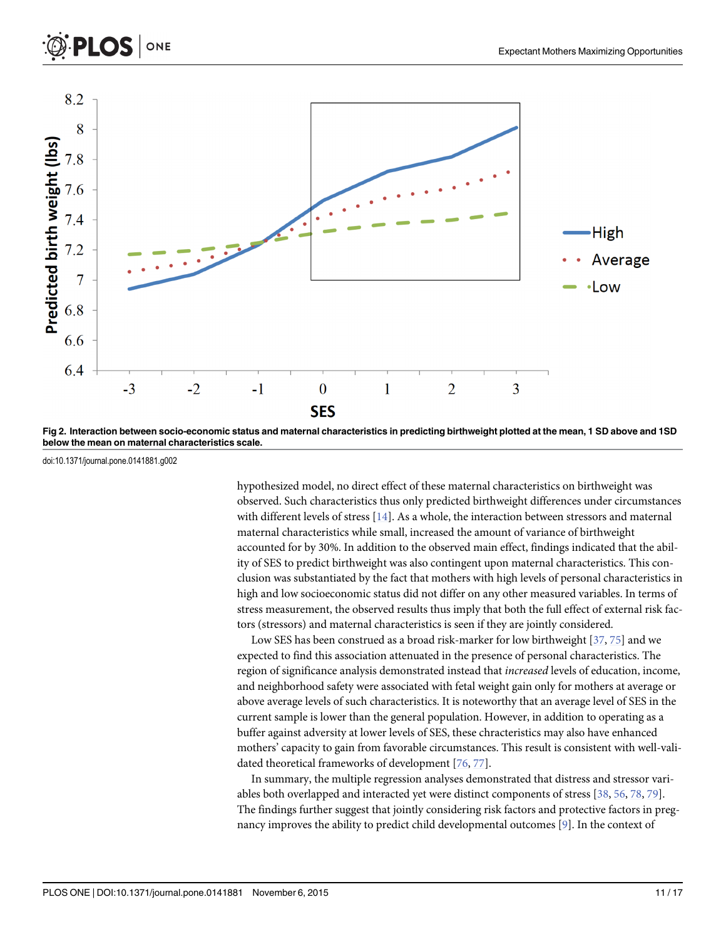<span id="page-10-0"></span>



[Fig 2. I](#page-8-0)nteraction between socio-economic status and maternal characteristics in predicting birthweight plotted at the mean, 1 SD above and 1SD below the mean on maternal characteristics scale.

doi:10.1371/journal.pone.0141881.g002

hypothesized model, no direct effect of these maternal characteristics on birthweight was observed. Such characteristics thus only predicted birthweight differences under circumstances with different levels of stress [[14](#page-13-0)]. As a whole, the interaction between stressors and maternal maternal characteristics while small, increased the amount of variance of birthweight accounted for by 30%. In addition to the observed main effect, findings indicated that the ability of SES to predict birthweight was also contingent upon maternal characteristics. This conclusion was substantiated by the fact that mothers with high levels of personal characteristics in high and low socioeconomic status did not differ on any other measured variables. In terms of stress measurement, the observed results thus imply that both the full effect of external risk factors (stressors) and maternal characteristics is seen if they are jointly considered.

Low SES has been construed as a broad risk-marker for low birthweight [\[37](#page-14-0), [75](#page-15-0)] and we expected to find this association attenuated in the presence of personal characteristics. The region of significance analysis demonstrated instead that increased levels of education, income, and neighborhood safety were associated with fetal weight gain only for mothers at average or above average levels of such characteristics. It is noteworthy that an average level of SES in the current sample is lower than the general population. However, in addition to operating as a buffer against adversity at lower levels of SES, these chracteristics may also have enhanced mothers' capacity to gain from favorable circumstances. This result is consistent with well-validated theoretical frameworks of development [\[76,](#page-15-0) [77\]](#page-15-0).

In summary, the multiple regression analyses demonstrated that distress and stressor variables both overlapped and interacted yet were distinct components of stress [[38](#page-14-0), [56](#page-15-0), [78](#page-15-0), [79](#page-15-0)]. The findings further suggest that jointly considering risk factors and protective factors in pregnancy improves the ability to predict child developmental outcomes [\[9\]](#page-13-0). In the context of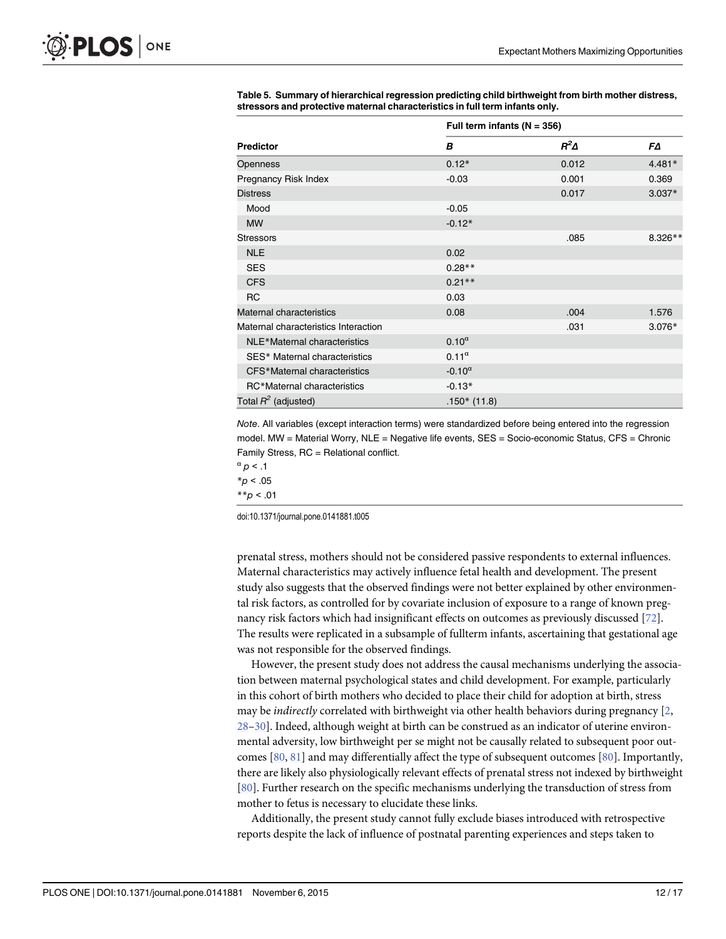|                                      | Full term infants ( $N = 356$ ) |             |          |
|--------------------------------------|---------------------------------|-------------|----------|
| <b>Predictor</b>                     | B                               | $R^2\Delta$ | FΔ       |
| Openness                             | $0.12*$                         | 0.012       | $4.481*$ |
| Pregnancy Risk Index                 | $-0.03$                         | 0.001       | 0.369    |
| <b>Distress</b>                      |                                 | 0.017       | $3.037*$ |
| Mood                                 | $-0.05$                         |             |          |
| <b>MW</b>                            | $-0.12*$                        |             |          |
| <b>Stressors</b>                     |                                 | .085        | 8.326**  |
| <b>NLE</b>                           | 0.02                            |             |          |
| <b>SES</b>                           | $0.28**$                        |             |          |
| <b>CFS</b>                           | $0.21**$                        |             |          |
| <b>RC</b>                            | 0.03                            |             |          |
| Maternal characteristics             | 0.08                            | .004        | 1.576    |
| Maternal characteristics Interaction |                                 | .031        | $3.076*$ |
| NLE*Maternal characteristics         | $0.10^{\alpha}$                 |             |          |
| SES* Maternal characteristics        | $0.11^\alpha$                   |             |          |
| CFS*Maternal characteristics         | $-0.10^{\alpha}$                |             |          |
| RC*Maternal characteristics          | $-0.13*$                        |             |          |
| Total $R^2$ (adjusted)               | $.150*(11.8)$                   |             |          |

<span id="page-11-0"></span>[Table 5.](#page-8-0) Summary of hierarchical regression predicting child birthweight from birth mother distress, stressors and protective maternal characteristics in full term infants only.

Note. All variables (except interaction terms) were standardized before being entered into the regression model. MW = Material Worry, NLE = Negative life events, SES = Socio-economic Status, CFS = Chronic Family Stress, RC = Relational conflict.

```
\alpha p < .1
```
 $*_{p}$  < .05

 $*_{p}$  < .01

doi:10.1371/journal.pone.0141881.t005

prenatal stress, mothers should not be considered passive respondents to external influences. Maternal characteristics may actively influence fetal health and development. The present study also suggests that the observed findings were not better explained by other environmental risk factors, as controlled for by covariate inclusion of exposure to a range of known pregnancy risk factors which had insignificant effects on outcomes as previously discussed [[72](#page-15-0)]. The results were replicated in a subsample of fullterm infants, ascertaining that gestational age was not responsible for the observed findings.

However, the present study does not address the causal mechanisms underlying the association between maternal psychological states and child development. For example, particularly in this cohort of birth mothers who decided to place their child for adoption at birth, stress may be *indirectly* correlated with birthweight via other health behaviors during pregnancy [[2,](#page-12-0) [28](#page-13-0)–[30](#page-13-0)]. Indeed, although weight at birth can be construed as an indicator of uterine environmental adversity, low birthweight per se might not be causally related to subsequent poor outcomes [[80](#page-16-0), [81](#page-16-0)] and may differentially affect the type of subsequent outcomes [\[80\]](#page-16-0). Importantly, there are likely also physiologically relevant effects of prenatal stress not indexed by birthweight [\[80](#page-16-0)]. Further research on the specific mechanisms underlying the transduction of stress from mother to fetus is necessary to elucidate these links.

Additionally, the present study cannot fully exclude biases introduced with retrospective reports despite the lack of influence of postnatal parenting experiences and steps taken to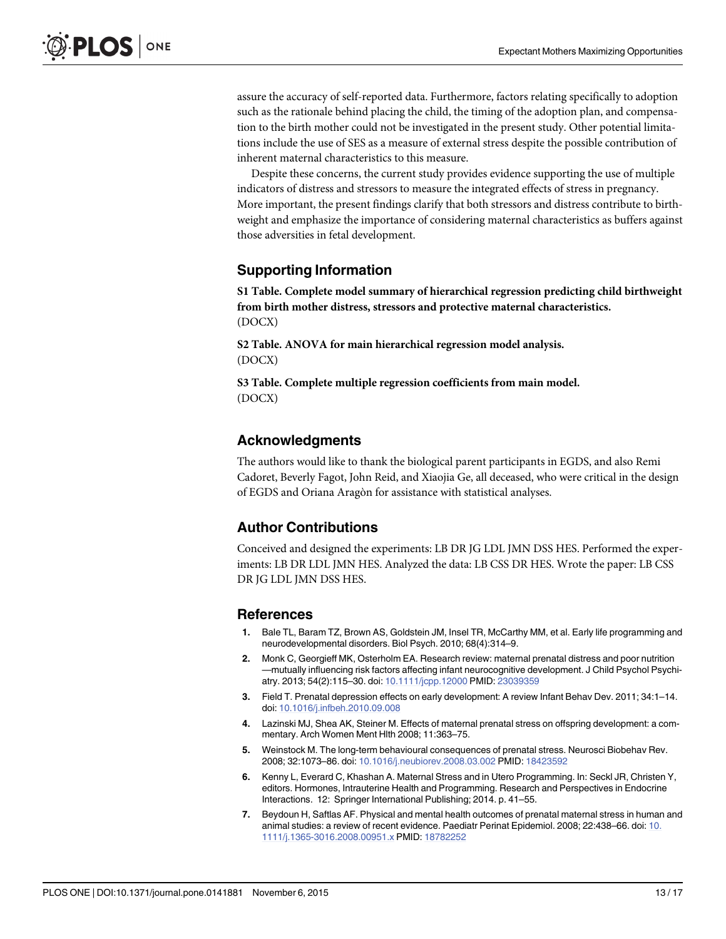<span id="page-12-0"></span>assure the accuracy of self-reported data. Furthermore, factors relating specifically to adoption such as the rationale behind placing the child, the timing of the adoption plan, and compensation to the birth mother could not be investigated in the present study. Other potential limitations include the use of SES as a measure of external stress despite the possible contribution of inherent maternal characteristics to this measure.

Despite these concerns, the current study provides evidence supporting the use of multiple indicators of distress and stressors to measure the integrated effects of stress in pregnancy. More important, the present findings clarify that both stressors and distress contribute to birthweight and emphasize the importance of considering maternal characteristics as buffers against those adversities in fetal development.

## Supporting Information

[S1 Table](http://www.plosone.org/article/fetchSingleRepresentation.action?uri=info:doi/10.1371/journal.pone.0141881.s001). Complete model summary of hierarchical regression predicting child birthweight from birth mother distress, stressors and protective maternal characteristics. (DOCX)

[S2 Table](http://www.plosone.org/article/fetchSingleRepresentation.action?uri=info:doi/10.1371/journal.pone.0141881.s002). ANOVA for main hierarchical regression model analysis. (DOCX)

[S3 Table](http://www.plosone.org/article/fetchSingleRepresentation.action?uri=info:doi/10.1371/journal.pone.0141881.s003). Complete multiple regression coefficients from main model. (DOCX)

## Acknowledgments

The authors would like to thank the biological parent participants in EGDS, and also Remi Cadoret, Beverly Fagot, John Reid, and Xiaojia Ge, all deceased, who were critical in the design of EGDS and Oriana Aragòn for assistance with statistical analyses.

## Author Contributions

Conceived and designed the experiments: LB DR JG LDL JMN DSS HES. Performed the experiments: LB DR LDL JMN HES. Analyzed the data: LB CSS DR HES. Wrote the paper: LB CSS DR JG LDL JMN DSS HES.

## References

- [1.](#page-1-0) Bale TL, Baram TZ, Brown AS, Goldstein JM, Insel TR, McCarthy MM, et al. Early life programming and neurodevelopmental disorders. Biol Psych. 2010; 68(4):314–9.
- [2.](#page-1-0) Monk C, Georgieff MK, Osterholm EA. Research review: maternal prenatal distress and poor nutrition —mutually influencing risk factors affecting infant neurocognitive development. J Child Psychol Psychi-atry. 2013; 54(2):115-30. doi: [10.1111/jcpp.12000](http://dx.doi.org/10.1111/jcpp.12000) PMID: [23039359](http://www.ncbi.nlm.nih.gov/pubmed/23039359)
- [3.](#page-1-0) Field T. Prenatal depression effects on early development: A review Infant Behav Dev. 2011; 34:1–14. doi: [10.1016/j.infbeh.2010.09.008](http://dx.doi.org/10.1016/j.infbeh.2010.09.008)
- 4. Lazinski MJ, Shea AK, Steiner M. Effects of maternal prenatal stress on offspring development: a commentary. Arch Women Ment Hlth 2008; 11:363–75.
- 5. Weinstock M. The long-term behavioural consequences of prenatal stress. Neurosci Biobehav Rev. 2008; 32:1073–86. doi: [10.1016/j.neubiorev.2008.03.002](http://dx.doi.org/10.1016/j.neubiorev.2008.03.002) PMID: [18423592](http://www.ncbi.nlm.nih.gov/pubmed/18423592)
- [6.](#page-1-0) Kenny L, Everard C, Khashan A. Maternal Stress and in Utero Programming. In: Seckl JR, Christen Y, editors. Hormones, Intrauterine Health and Programming. Research and Perspectives in Endocrine Interactions. 12: Springer International Publishing; 2014. p. 41–55.
- [7.](#page-1-0) Beydoun H, Saftlas AF. Physical and mental health outcomes of prenatal maternal stress in human and animal studies: a review of recent evidence. Paediatr Perinat Epidemiol. 2008; 22:438–66. doi: [10.](http://dx.doi.org/10.1111/j.1365-3016.2008.00951.x) [1111/j.1365-3016.2008.00951.x](http://dx.doi.org/10.1111/j.1365-3016.2008.00951.x) PMID: [18782252](http://www.ncbi.nlm.nih.gov/pubmed/18782252)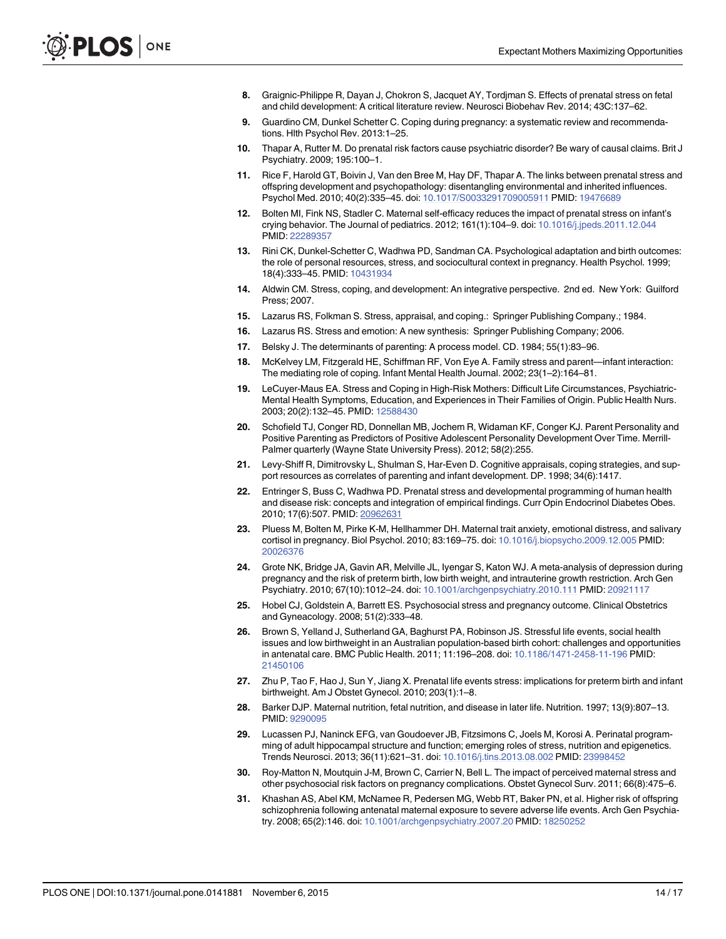- <span id="page-13-0"></span>8. Graignic-Philippe R, Dayan J, Chokron S, Jacquet AY, Tordjman S. Effects of prenatal stress on fetal and child development: A critical literature review. Neurosci Biobehav Rev. 2014; 43C:137–62.
- [9.](#page-1-0) Guardino CM, Dunkel Schetter C. Coping during pregnancy: a systematic review and recommendations. Hlth Psychol Rev. 2013:1–25.
- [10.](#page-1-0) Thapar A, Rutter M. Do prenatal risk factors cause psychiatric disorder? Be wary of causal claims. Brit J Psychiatry. 2009; 195:100–1.
- [11.](#page-1-0) Rice F, Harold GT, Boivin J, Van den Bree M, Hay DF, Thapar A. The links between prenatal stress and offspring development and psychopathology: disentangling environmental and inherited influences. Psychol Med. 2010; 40(2):335–45. doi: [10.1017/S0033291709005911](http://dx.doi.org/10.1017/S0033291709005911) PMID: [19476689](http://www.ncbi.nlm.nih.gov/pubmed/19476689)
- [12.](#page-1-0) Bolten MI, Fink NS, Stadler C. Maternal self-efficacy reduces the impact of prenatal stress on infant's crying behavior. The Journal of pediatrics. 2012; 161(1):104–9. doi: [10.1016/j.jpeds.2011.12.044](http://dx.doi.org/10.1016/j.jpeds.2011.12.044) PMID: [22289357](http://www.ncbi.nlm.nih.gov/pubmed/22289357)
- [13.](#page-1-0) Rini CK, Dunkel-Schetter C, Wadhwa PD, Sandman CA. Psychological adaptation and birth outcomes: the role of personal resources, stress, and sociocultural context in pregnancy. Health Psychol. 1999; 18(4):333–45. PMID: [10431934](http://www.ncbi.nlm.nih.gov/pubmed/10431934)
- [14.](#page-1-0) Aldwin CM. Stress, coping, and development: An integrative perspective. 2nd ed. New York: Guilford Press; 2007.
- [15.](#page-1-0) Lazarus RS, Folkman S. Stress, appraisal, and coping.: Springer Publishing Company.; 1984.
- [16.](#page-1-0) Lazarus RS. Stress and emotion: A new synthesis: Springer Publishing Company; 2006.
- [17.](#page-1-0) Belsky J. The determinants of parenting: A process model. CD. 1984; 55(1):83–96.
- [18.](#page-1-0) McKelvey LM, Fitzgerald HE, Schiffman RF, Von Eye A. Family stress and parent—infant interaction: The mediating role of coping. Infant Mental Health Journal. 2002; 23(1–2):164–81.
- [19.](#page-1-0) LeCuyer-Maus EA. Stress and Coping in High-Risk Mothers: Difficult Life Circumstances, Psychiatric-Mental Health Symptoms, Education, and Experiences in Their Families of Origin. Public Health Nurs. 2003; 20(2):132–45. PMID: [12588430](http://www.ncbi.nlm.nih.gov/pubmed/12588430)
- [20.](#page-1-0) Schofield TJ, Conger RD, Donnellan MB, Jochem R, Widaman KF, Conger KJ. Parent Personality and Positive Parenting as Predictors of Positive Adolescent Personality Development Over Time. Merrill-Palmer quarterly (Wayne State University Press). 2012; 58(2):255.
- [21.](#page-1-0) Levy-Shiff R, Dimitrovsky L, Shulman S, Har-Even D. Cognitive appraisals, coping strategies, and support resources as correlates of parenting and infant development. DP. 1998; 34(6):1417.
- [22.](#page-1-0) Entringer S, Buss C, Wadhwa PD. Prenatal stress and developmental programming of human health and disease risk: concepts and integration of empirical findings. Curr Opin Endocrinol Diabetes Obes. 2010; 17(6):507. PMID: [20962631](http://www.ncbi.nlm.nih.gov/pubmed/20962631)
- [23.](#page-1-0) Pluess M, Bolten M, Pirke K-M, Hellhammer DH. Maternal trait anxiety, emotional distress, and salivary cortisol in pregnancy. Biol Psychol. 2010; 83:169–75. doi: [10.1016/j.biopsycho.2009.12.005](http://dx.doi.org/10.1016/j.biopsycho.2009.12.005) PMID: [20026376](http://www.ncbi.nlm.nih.gov/pubmed/20026376)
- [24.](#page-2-0) Grote NK, Bridge JA, Gavin AR, Melville JL, Iyengar S, Katon WJ. A meta-analysis of depression during pregnancy and the risk of preterm birth, low birth weight, and intrauterine growth restriction. Arch Gen Psychiatry. 2010; 67(10):1012–24. doi: [10.1001/archgenpsychiatry.2010.111](http://dx.doi.org/10.1001/archgenpsychiatry.2010.111) PMID: [20921117](http://www.ncbi.nlm.nih.gov/pubmed/20921117)
- [25.](#page-2-0) Hobel CJ, Goldstein A, Barrett ES. Psychosocial stress and pregnancy outcome. Clinical Obstetrics and Gyneacology. 2008; 51(2):333–48.
- [26.](#page-2-0) Brown S, Yelland J, Sutherland GA, Baghurst PA, Robinson JS. Stressful life events, social health issues and low birthweight in an Australian population-based birth cohort: challenges and opportunities in antenatal care. BMC Public Health. 2011; 11:196–208. doi: [10.1186/1471-2458-11-196](http://dx.doi.org/10.1186/1471-2458-11-196) PMID: [21450106](http://www.ncbi.nlm.nih.gov/pubmed/21450106)
- [27.](#page-2-0) Zhu P, Tao F, Hao J, Sun Y, Jiang X. Prenatal life events stress: implications for preterm birth and infant birthweight. Am J Obstet Gynecol. 2010; 203(1):1–8.
- [28.](#page-2-0) Barker DJP. Maternal nutrition, fetal nutrition, and disease in later life. Nutrition. 1997; 13(9):807–13. PMID: [9290095](http://www.ncbi.nlm.nih.gov/pubmed/9290095)
- 29. Lucassen PJ, Naninck EFG, van Goudoever JB, Fitzsimons C, Joels M, Korosi A. Perinatal programming of adult hippocampal structure and function; emerging roles of stress, nutrition and epigenetics. Trends Neurosci. 2013; 36(11):621–31. doi: [10.1016/j.tins.2013.08.002](http://dx.doi.org/10.1016/j.tins.2013.08.002) PMID: [23998452](http://www.ncbi.nlm.nih.gov/pubmed/23998452)
- [30.](#page-2-0) Roy-Matton N, Moutquin J-M, Brown C, Carrier N, Bell L. The impact of perceived maternal stress and other psychosocial risk factors on pregnancy complications. Obstet Gynecol Surv. 2011; 66(8):475–6.
- [31.](#page-2-0) Khashan AS, Abel KM, McNamee R, Pedersen MG, Webb RT, Baker PN, et al. Higher risk of offspring schizophrenia following antenatal maternal exposure to severe adverse life events. Arch Gen Psychiatry. 2008; 65(2):146. doi: [10.1001/archgenpsychiatry.2007.20](http://dx.doi.org/10.1001/archgenpsychiatry.2007.20) PMID: [18250252](http://www.ncbi.nlm.nih.gov/pubmed/18250252)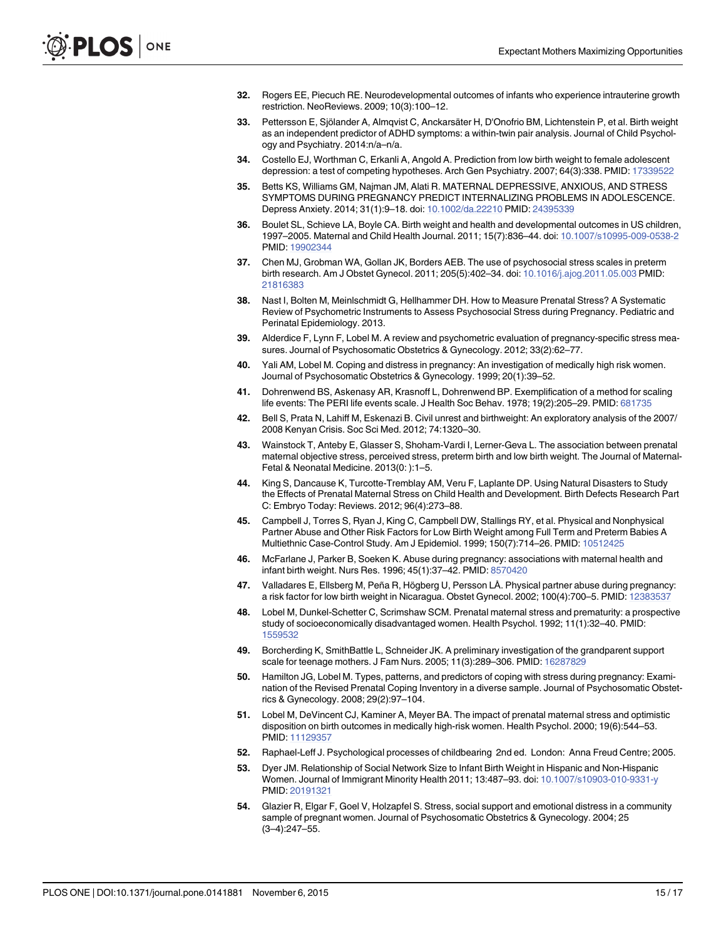- <span id="page-14-0"></span>32. Rogers EE, Piecuch RE. Neurodevelopmental outcomes of infants who experience intrauterine growth restriction. NeoReviews. 2009; 10(3):100–12.
- 33. Pettersson E, Sjölander A, Almqvist C, Anckarsäter H, D'Onofrio BM, Lichtenstein P, et al. Birth weight as an independent predictor of ADHD symptoms: a within-twin pair analysis. Journal of Child Psychology and Psychiatry. 2014:n/a–n/a.
- 34. Costello EJ, Worthman C, Erkanli A, Angold A. Prediction from low birth weight to female adolescent depression: a test of competing hypotheses. Arch Gen Psychiatry. 2007; 64(3):338. PMID: [17339522](http://www.ncbi.nlm.nih.gov/pubmed/17339522)
- [35.](#page-2-0) Betts KS, Williams GM, Najman JM, Alati R. MATERNAL DEPRESSIVE, ANXIOUS, AND STRESS SYMPTOMS DURING PREGNANCY PREDICT INTERNALIZING PROBLEMS IN ADOLESCENCE. Depress Anxiety. 2014; 31(1):9–18. doi: [10.1002/da.22210](http://dx.doi.org/10.1002/da.22210) PMID: [24395339](http://www.ncbi.nlm.nih.gov/pubmed/24395339)
- [36.](#page-2-0) Boulet SL, Schieve LA, Boyle CA. Birth weight and health and developmental outcomes in US children, 1997–2005. Maternal and Child Health Journal. 2011; 15(7):836–44. doi: [10.1007/s10995-009-0538-2](http://dx.doi.org/10.1007/s10995-009-0538-2) PMID: [19902344](http://www.ncbi.nlm.nih.gov/pubmed/19902344)
- [37.](#page-2-0) Chen MJ, Grobman WA, Gollan JK, Borders AEB. The use of psychosocial stress scales in preterm birth research. Am J Obstet Gynecol. 2011; 205(5):402–34. doi: [10.1016/j.ajog.2011.05.003](http://dx.doi.org/10.1016/j.ajog.2011.05.003) PMID: [21816383](http://www.ncbi.nlm.nih.gov/pubmed/21816383)
- [38.](#page-2-0) Nast I, Bolten M, Meinlschmidt G, Hellhammer DH. How to Measure Prenatal Stress? A Systematic Review of Psychometric Instruments to Assess Psychosocial Stress during Pregnancy. Pediatric and Perinatal Epidemiology. 2013.
- [39.](#page-2-0) Alderdice F, Lynn F, Lobel M. A review and psychometric evaluation of pregnancy-specific stress measures. Journal of Psychosomatic Obstetrics & Gynecology. 2012; 33(2):62–77.
- [40.](#page-2-0) Yali AM, Lobel M. Coping and distress in pregnancy: An investigation of medically high risk women. Journal of Psychosomatic Obstetrics & Gynecology. 1999; 20(1):39–52.
- [41.](#page-2-0) Dohrenwend BS, Askenasy AR, Krasnoff L, Dohrenwend BP. Exemplification of a method for scaling life events: The PERI life events scale. J Health Soc Behav. 1978; 19(2):205–29. PMID: [681735](http://www.ncbi.nlm.nih.gov/pubmed/681735)
- [42.](#page-2-0) Bell S, Prata N, Lahiff M, Eskenazi B. Civil unrest and birthweight: An exploratory analysis of the 2007/ 2008 Kenyan Crisis. Soc Sci Med. 2012; 74:1320–30.
- 43. Wainstock T, Anteby E, Glasser S, Shoham-Vardi I, Lerner-Geva L. The association between prenatal maternal objective stress, perceived stress, preterm birth and low birth weight. The Journal of Maternal-Fetal & Neonatal Medicine. 2013(0: ):1–5.
- [44.](#page-2-0) King S, Dancause K, Turcotte-Tremblay AM, Veru F, Laplante DP. Using Natural Disasters to Study the Effects of Prenatal Maternal Stress on Child Health and Development. Birth Defects Research Part C: Embryo Today: Reviews. 2012; 96(4):273–88.
- [45.](#page-2-0) Campbell J, Torres S, Ryan J, King C, Campbell DW, Stallings RY, et al. Physical and Nonphysical Partner Abuse and Other Risk Factors for Low Birth Weight among Full Term and Preterm Babies A Multiethnic Case-Control Study. Am J Epidemiol. 1999; 150(7):714–26. PMID: [10512425](http://www.ncbi.nlm.nih.gov/pubmed/10512425)
- 46. McFarlane J, Parker B, Soeken K. Abuse during pregnancy: associations with maternal health and infant birth weight. Nurs Res. 1996; 45(1):37–42. PMID: [8570420](http://www.ncbi.nlm.nih.gov/pubmed/8570420)
- [47.](#page-2-0) Valladares E, Ellsberg M, Peña R, Högberg U, Persson LÅ. Physical partner abuse during pregnancy: a risk factor for low birth weight in Nicaragua. Obstet Gynecol. 2002; 100(4):700–5. PMID: [12383537](http://www.ncbi.nlm.nih.gov/pubmed/12383537)
- [48.](#page-2-0) Lobel M, Dunkel-Schetter C, Scrimshaw SCM. Prenatal maternal stress and prematurity: a prospective study of socioeconomically disadvantaged women. Health Psychol. 1992; 11(1):32–40. PMID: [1559532](http://www.ncbi.nlm.nih.gov/pubmed/1559532)
- [49.](#page-2-0) Borcherding K, SmithBattle L, Schneider JK. A preliminary investigation of the grandparent support scale for teenage mothers. J Fam Nurs. 2005; 11(3):289-306. PMID: [16287829](http://www.ncbi.nlm.nih.gov/pubmed/16287829)
- [50.](#page-3-0) Hamilton JG, Lobel M. Types, patterns, and predictors of coping with stress during pregnancy: Examination of the Revised Prenatal Coping Inventory in a diverse sample. Journal of Psychosomatic Obstetrics & Gynecology. 2008; 29(2):97–104.
- [51.](#page-3-0) Lobel M, DeVincent CJ, Kaminer A, Meyer BA. The impact of prenatal maternal stress and optimistic disposition on birth outcomes in medically high-risk women. Health Psychol. 2000; 19(6):544–53. PMID: [11129357](http://www.ncbi.nlm.nih.gov/pubmed/11129357)
- [52.](#page-3-0) Raphael-Leff J. Psychological processes of childbearing 2nd ed. London: Anna Freud Centre; 2005.
- [53.](#page-3-0) Dyer JM. Relationship of Social Network Size to Infant Birth Weight in Hispanic and Non-Hispanic Women. Journal of Immigrant Minority Health 2011; 13:487–93. doi: [10.1007/s10903-010-9331-y](http://dx.doi.org/10.1007/s10903-010-9331-y) PMID: [20191321](http://www.ncbi.nlm.nih.gov/pubmed/20191321)
- 54. Glazier R, Elgar F, Goel V, Holzapfel S. Stress, social support and emotional distress in a community sample of pregnant women. Journal of Psychosomatic Obstetrics & Gynecology. 2004; 25 (3–4):247–55.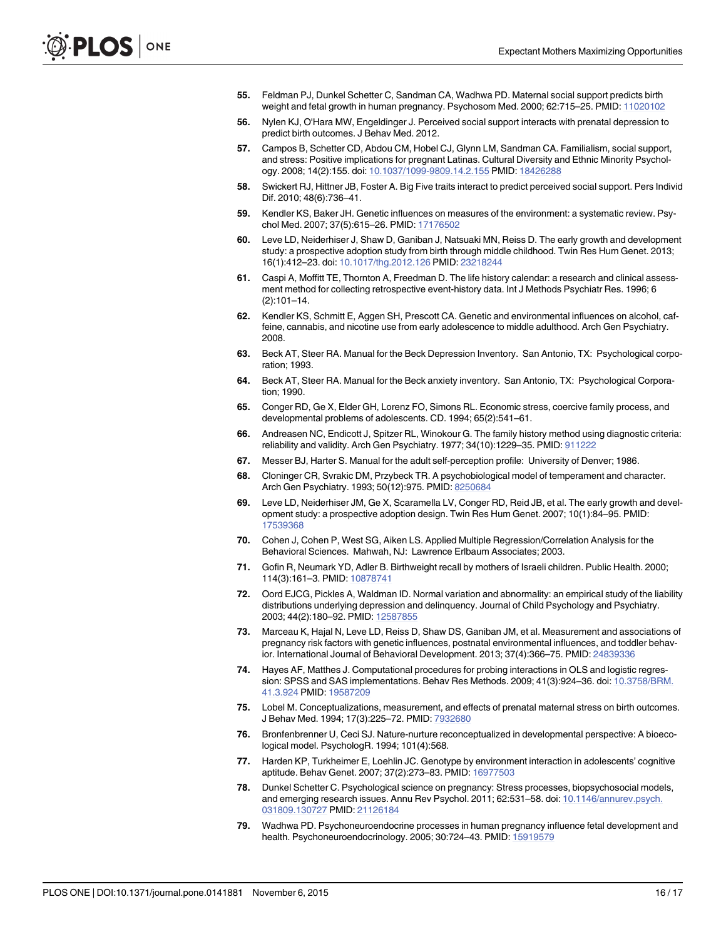- <span id="page-15-0"></span>55. Feldman PJ, Dunkel Schetter C, Sandman CA, Wadhwa PD. Maternal social support predicts birth weight and fetal growth in human pregnancy. Psychosom Med. 2000; 62:715–25. PMID: [11020102](http://www.ncbi.nlm.nih.gov/pubmed/11020102)
- [56.](#page-10-0) Nylen KJ, O'Hara MW, Engeldinger J. Perceived social support interacts with prenatal depression to predict birth outcomes. J Behav Med. 2012.
- [57.](#page-3-0) Campos B, Schetter CD, Abdou CM, Hobel CJ, Glynn LM, Sandman CA. Familialism, social support, and stress: Positive implications for pregnant Latinas. Cultural Diversity and Ethnic Minority Psychology. 2008; 14(2):155. doi: [10.1037/1099-9809.14.2.155](http://dx.doi.org/10.1037/1099-9809.14.2.155) PMID: [18426288](http://www.ncbi.nlm.nih.gov/pubmed/18426288)
- [58.](#page-3-0) Swickert RJ, Hittner JB, Foster A. Big Five traits interact to predict perceived social support. Pers Individ Dif. 2010; 48(6):736–41.
- [59.](#page-3-0) Kendler KS, Baker JH. Genetic influences on measures of the environment: a systematic review. Psychol Med. 2007; 37(5):615–26. PMID: [17176502](http://www.ncbi.nlm.nih.gov/pubmed/17176502)
- [60.](#page-3-0) Leve LD, Neiderhiser J, Shaw D, Ganiban J, Natsuaki MN, Reiss D. The early growth and development study: a prospective adoption study from birth through middle childhood. Twin Res Hum Genet. 2013; 16(1):412–23. doi: [10.1017/thg.2012.126](http://dx.doi.org/10.1017/thg.2012.126) PMID: [23218244](http://www.ncbi.nlm.nih.gov/pubmed/23218244)
- [61.](#page-4-0) Caspi A, Moffitt TE, Thornton A, Freedman D. The life history calendar: a research and clinical assessment method for collecting retrospective event-history data. Int J Methods Psychiatr Res. 1996; 6 (2):101–14.
- [62.](#page-4-0) Kendler KS, Schmitt E, Aggen SH, Prescott CA. Genetic and environmental influences on alcohol, caffeine, cannabis, and nicotine use from early adolescence to middle adulthood. Arch Gen Psychiatry. 2008.
- [63.](#page-5-0) Beck AT, Steer RA. Manual for the Beck Depression Inventory. San Antonio, TX: Psychological corporation; 1993.
- [64.](#page-5-0) Beck AT, Steer RA. Manual for the Beck anxiety inventory. San Antonio, TX: Psychological Corporation; 1990.
- [65.](#page-5-0) Conger RD, Ge X, Elder GH, Lorenz FO, Simons RL. Economic stress, coercive family process, and developmental problems of adolescents. CD. 1994; 65(2):541–61.
- [66.](#page-5-0) Andreasen NC, Endicott J, Spitzer RL, Winokour G. The family history method using diagnostic criteria: reliability and validity. Arch Gen Psychiatry. 1977; 34(10):1229–35. PMID: [911222](http://www.ncbi.nlm.nih.gov/pubmed/911222)
- [67.](#page-5-0) Messer BJ, Harter S. Manual for the adult self-perception profile: University of Denver; 1986.
- [68.](#page-5-0) Cloninger CR, Svrakic DM, Przybeck TR. A psychobiological model of temperament and character. Arch Gen Psychiatry. 1993; 50(12):975. PMID: [8250684](http://www.ncbi.nlm.nih.gov/pubmed/8250684)
- [69.](#page-6-0) Leve LD, Neiderhiser JM, Ge X, Scaramella LV, Conger RD, Reid JB, et al. The early growth and development study: a prospective adoption design. Twin Res Hum Genet. 2007; 10(1):84–95. PMID: [17539368](http://www.ncbi.nlm.nih.gov/pubmed/17539368)
- [70.](#page-6-0) Cohen J, Cohen P, West SG, Aiken LS. Applied Multiple Regression/Correlation Analysis for the Behavioral Sciences. Mahwah, NJ: Lawrence Erlbaum Associates; 2003.
- [71.](#page-6-0) Gofin R, Neumark YD, Adler B. Birthweight recall by mothers of Israeli children. Public Health. 2000; 114(3):161–3. PMID: [10878741](http://www.ncbi.nlm.nih.gov/pubmed/10878741)
- [72.](#page-6-0) Oord EJCG, Pickles A, Waldman ID. Normal variation and abnormality: an empirical study of the liability distributions underlying depression and delinquency. Journal of Child Psychology and Psychiatry. 2003; 44(2):180–92. PMID: [12587855](http://www.ncbi.nlm.nih.gov/pubmed/12587855)
- [73.](#page-7-0) Marceau K, Hajal N, Leve LD, Reiss D, Shaw DS, Ganiban JM, et al. Measurement and associations of pregnancy risk factors with genetic influences, postnatal environmental influences, and toddler behavior. International Journal of Behavioral Development. 2013; 37(4):366–75. PMID: [24839336](http://www.ncbi.nlm.nih.gov/pubmed/24839336)
- [74.](#page-8-0) Hayes AF, Matthes J. Computational procedures for probing interactions in OLS and logistic regression: SPSS and SAS implementations. Behav Res Methods. 2009; 41(3):924–36. doi: [10.3758/BRM.](http://dx.doi.org/10.3758/BRM.41.3.924) [41.3.924](http://dx.doi.org/10.3758/BRM.41.3.924) PMID: [19587209](http://www.ncbi.nlm.nih.gov/pubmed/19587209)
- [75.](#page-10-0) Lobel M. Conceptualizations, measurement, and effects of prenatal maternal stress on birth outcomes. J Behav Med. 1994; 17(3):225–72. PMID: [7932680](http://www.ncbi.nlm.nih.gov/pubmed/7932680)
- [76.](#page-10-0) Bronfenbrenner U, Ceci SJ. Nature-nurture reconceptualized in developmental perspective: A bioecological model. PsychologR. 1994; 101(4):568.
- [77.](#page-10-0) Harden KP, Turkheimer E, Loehlin JC. Genotype by environment interaction in adolescents' cognitive aptitude. Behav Genet. 2007; 37(2):273–83. PMID: [16977503](http://www.ncbi.nlm.nih.gov/pubmed/16977503)
- [78.](#page-10-0) Dunkel Schetter C. Psychological science on pregnancy: Stress processes, biopsychosocial models, and emerging research issues. Annu Rev Psychol. 2011; 62:531–58. doi: [10.1146/annurev.psych.](http://dx.doi.org/10.1146/annurev.psych.031809.130727) [031809.130727](http://dx.doi.org/10.1146/annurev.psych.031809.130727) PMID: [21126184](http://www.ncbi.nlm.nih.gov/pubmed/21126184)
- [79.](#page-10-0) Wadhwa PD. Psychoneuroendocrine processes in human pregnancy influence fetal development and health. Psychoneuroendocrinology. 2005; 30:724–43. PMID: [15919579](http://www.ncbi.nlm.nih.gov/pubmed/15919579)